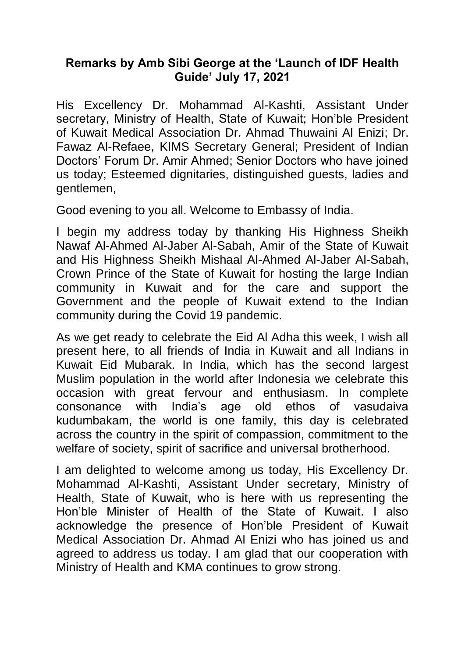## **Remarks by Amb Sibi George at the 'Launch of IDF Health Guide' July 17, 2021**

His Excellency Dr. Mohammad Al-Kashti, Assistant Under secretary, Ministry of Health, State of Kuwait; Hon'ble President of Kuwait Medical Association Dr. Ahmad Thuwaini Al Enizi; Dr. Fawaz Al-Refaee, KIMS Secretary General; President of Indian Doctors' Forum Dr. Amir Ahmed; Senior Doctors who have joined us today; Esteemed dignitaries, distinguished guests, ladies and gentlemen,

Good evening to you all. Welcome to Embassy of India.

I begin my address today by thanking His Highness Sheikh Nawaf Al-Ahmed Al-Jaber Al-Sabah, Amir of the State of Kuwait and His Highness Sheikh Mishaal Al-Ahmed Al-Jaber Al-Sabah, Crown Prince of the State of Kuwait for hosting the large Indian community in Kuwait and for the care and support the Government and the people of Kuwait extend to the Indian community during the Covid 19 pandemic.

As we get ready to celebrate the Eid Al Adha this week, I wish all present here, to all friends of India in Kuwait and all Indians in Kuwait Eid Mubarak. In India, which has the second largest Muslim population in the world after Indonesia we celebrate this occasion with great fervour and enthusiasm. In complete consonance with India's age old ethos of vasudaiva kudumbakam, the world is one family, this day is celebrated across the country in the spirit of compassion, commitment to the welfare of society, spirit of sacrifice and universal brotherhood.

I am delighted to welcome among us today, His Excellency Dr. Mohammad Al-Kashti, Assistant Under secretary, Ministry of Health, State of Kuwait, who is here with us representing the Hon'ble Minister of Health of the State of Kuwait. I also acknowledge the presence of Hon'ble President of Kuwait Medical Association Dr. Ahmad Al Enizi who has joined us and agreed to address us today. I am glad that our cooperation with Ministry of Health and KMA continues to grow strong.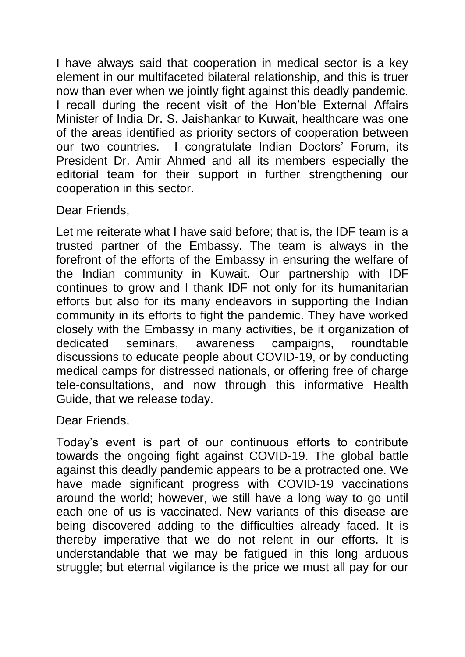I have always said that cooperation in medical sector is a key element in our multifaceted bilateral relationship, and this is truer now than ever when we jointly fight against this deadly pandemic. I recall during the recent visit of the Hon'ble External Affairs Minister of India Dr. S. Jaishankar to Kuwait, healthcare was one of the areas identified as priority sectors of cooperation between our two countries. I congratulate Indian Doctors' Forum, its President Dr. Amir Ahmed and all its members especially the editorial team for their support in further strengthening our cooperation in this sector.

## Dear Friends,

Let me reiterate what I have said before; that is, the IDF team is a trusted partner of the Embassy. The team is always in the forefront of the efforts of the Embassy in ensuring the welfare of the Indian community in Kuwait. Our partnership with IDF continues to grow and I thank IDF not only for its humanitarian efforts but also for its many endeavors in supporting the Indian community in its efforts to fight the pandemic. They have worked closely with the Embassy in many activities, be it organization of dedicated seminars, awareness campaigns, roundtable discussions to educate people about COVID-19, or by conducting medical camps for distressed nationals, or offering free of charge tele-consultations, and now through this informative Health Guide, that we release today.

Dear Friends,

Today's event is part of our continuous efforts to contribute towards the ongoing fight against COVID-19. The global battle against this deadly pandemic appears to be a protracted one. We have made significant progress with COVID-19 vaccinations around the world; however, we still have a long way to go until each one of us is vaccinated. New variants of this disease are being discovered adding to the difficulties already faced. It is thereby imperative that we do not relent in our efforts. It is understandable that we may be fatigued in this long arduous struggle; but eternal vigilance is the price we must all pay for our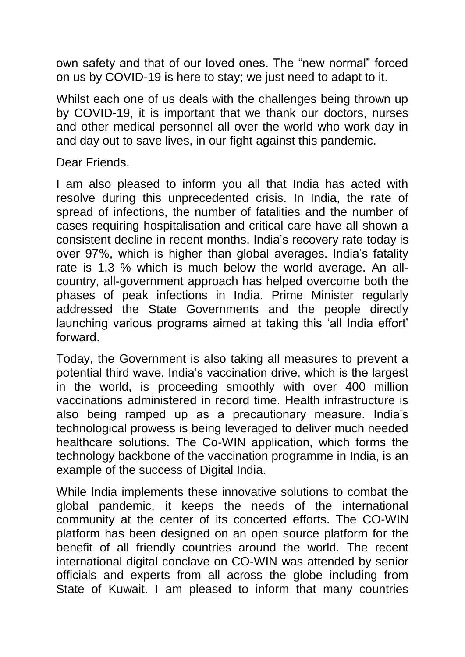own safety and that of our loved ones. The "new normal" forced on us by COVID-19 is here to stay; we just need to adapt to it.

Whilst each one of us deals with the challenges being thrown up by COVID-19, it is important that we thank our doctors, nurses and other medical personnel all over the world who work day in and day out to save lives, in our fight against this pandemic.

Dear Friends,

I am also pleased to inform you all that India has acted with resolve during this unprecedented crisis. In India, the rate of spread of infections, the number of fatalities and the number of cases requiring hospitalisation and critical care have all shown a consistent decline in recent months. India's recovery rate today is over 97%, which is higher than global averages. India's fatality rate is 1.3 % which is much below the world average. An allcountry, all-government approach has helped overcome both the phases of peak infections in India. Prime Minister regularly addressed the State Governments and the people directly launching various programs aimed at taking this 'all India effort' forward.

Today, the Government is also taking all measures to prevent a potential third wave. India's vaccination drive, which is the largest in the world, is proceeding smoothly with over 400 million vaccinations administered in record time. Health infrastructure is also being ramped up as a precautionary measure. India's technological prowess is being leveraged to deliver much needed healthcare solutions. The Co-WIN application, which forms the technology backbone of the vaccination programme in India, is an example of the success of Digital India.

While India implements these innovative solutions to combat the global pandemic, it keeps the needs of the international community at the center of its concerted efforts. The CO-WIN platform has been designed on an open source platform for the benefit of all friendly countries around the world. The recent international digital conclave on CO-WIN was attended by senior officials and experts from all across the globe including from State of Kuwait. I am pleased to inform that many countries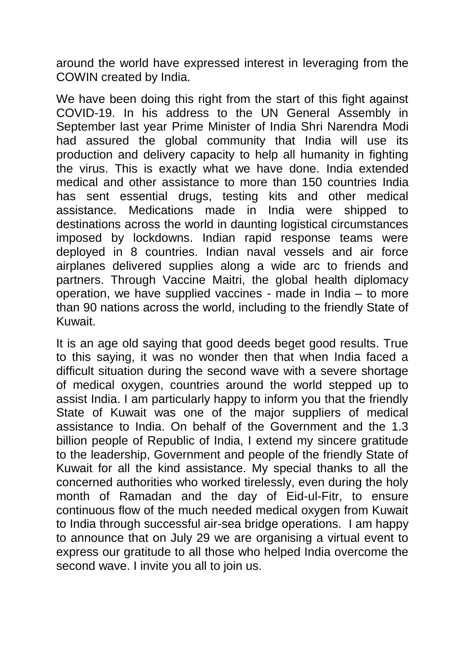around the world have expressed interest in leveraging from the COWIN created by India.

We have been doing this right from the start of this fight against COVID-19. In his address to the UN General Assembly in September last year Prime Minister of India Shri Narendra Modi had assured the global community that India will use its production and delivery capacity to help all humanity in fighting the virus. This is exactly what we have done. India extended medical and other assistance to more than 150 countries India has sent essential drugs, testing kits and other medical assistance. Medications made in India were shipped to destinations across the world in daunting logistical circumstances imposed by lockdowns. Indian rapid response teams were deployed in 8 countries. Indian naval vessels and air force airplanes delivered supplies along a wide arc to friends and partners. Through Vaccine Maitri, the global health diplomacy operation, we have supplied vaccines - made in India – to more than 90 nations across the world, including to the friendly State of Kuwait.

It is an age old saying that good deeds beget good results. True to this saying, it was no wonder then that when India faced a difficult situation during the second wave with a severe shortage of medical oxygen, countries around the world stepped up to assist India. I am particularly happy to inform you that the friendly State of Kuwait was one of the major suppliers of medical assistance to India. On behalf of the Government and the 1.3 billion people of Republic of India, I extend my sincere gratitude to the leadership, Government and people of the friendly State of Kuwait for all the kind assistance. My special thanks to all the concerned authorities who worked tirelessly, even during the holy month of Ramadan and the day of Eid-ul-Fitr, to ensure continuous flow of the much needed medical oxygen from Kuwait to India through successful air-sea bridge operations. I am happy to announce that on July 29 we are organising a virtual event to express our gratitude to all those who helped India overcome the second wave. I invite you all to join us.